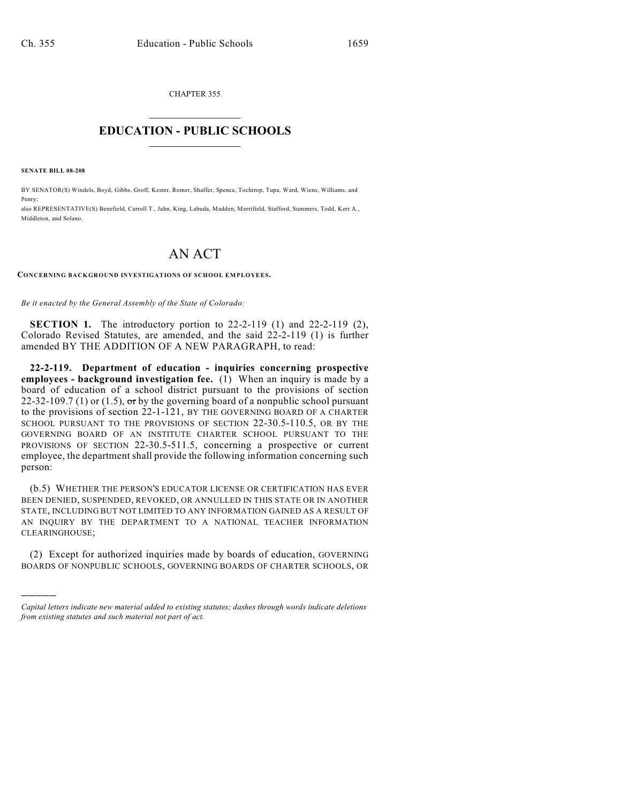CHAPTER 355  $\overline{\phantom{a}}$  . The set of the set of the set of the set of the set of the set of the set of the set of the set of the set of the set of the set of the set of the set of the set of the set of the set of the set of the set o

## **EDUCATION - PUBLIC SCHOOLS**  $\_$   $\_$   $\_$   $\_$   $\_$   $\_$   $\_$   $\_$   $\_$

**SENATE BILL 08-208**

)))))

BY SENATOR(S) Windels, Boyd, Gibbs, Groff, Kester, Romer, Shaffer, Spence, Tochtrop, Tupa, Ward, Wiens, Williams, and Penry;

also REPRESENTATIVE(S) Benefield, Carroll T., Jahn, King, Labuda, Madden, Merrifield, Stafford, Summers, Todd, Kerr A., Middleton, and Solano.

## AN ACT

## **CONCERNING BACKGROUND INVESTIGATIONS OF SCHOOL EMPLOYEES.**

*Be it enacted by the General Assembly of the State of Colorado:*

**SECTION 1.** The introductory portion to 22-2-119 (1) and 22-2-119 (2), Colorado Revised Statutes, are amended, and the said 22-2-119 (1) is further amended BY THE ADDITION OF A NEW PARAGRAPH, to read:

**22-2-119. Department of education - inquiries concerning prospective employees - background investigation fee.** (1) When an inquiry is made by a board of education of a school district pursuant to the provisions of section 22-32-109.7 (1) or (1.5),  $\sigma$ r by the governing board of a nonpublic school pursuant to the provisions of section 22-1-121, BY THE GOVERNING BOARD OF A CHARTER SCHOOL PURSUANT TO THE PROVISIONS OF SECTION 22-30.5-110.5, OR BY THE GOVERNING BOARD OF AN INSTITUTE CHARTER SCHOOL PURSUANT TO THE PROVISIONS OF SECTION 22-30.5-511.5, concerning a prospective or current employee, the department shall provide the following information concerning such person:

(b.5) WHETHER THE PERSON'S EDUCATOR LICENSE OR CERTIFICATION HAS EVER BEEN DENIED, SUSPENDED, REVOKED, OR ANNULLED IN THIS STATE OR IN ANOTHER STATE, INCLUDING BUT NOT LIMITED TO ANY INFORMATION GAINED AS A RESULT OF AN INQUIRY BY THE DEPARTMENT TO A NATIONAL TEACHER INFORMATION CLEARINGHOUSE;

(2) Except for authorized inquiries made by boards of education, GOVERNING BOARDS OF NONPUBLIC SCHOOLS, GOVERNING BOARDS OF CHARTER SCHOOLS, OR

*Capital letters indicate new material added to existing statutes; dashes through words indicate deletions from existing statutes and such material not part of act.*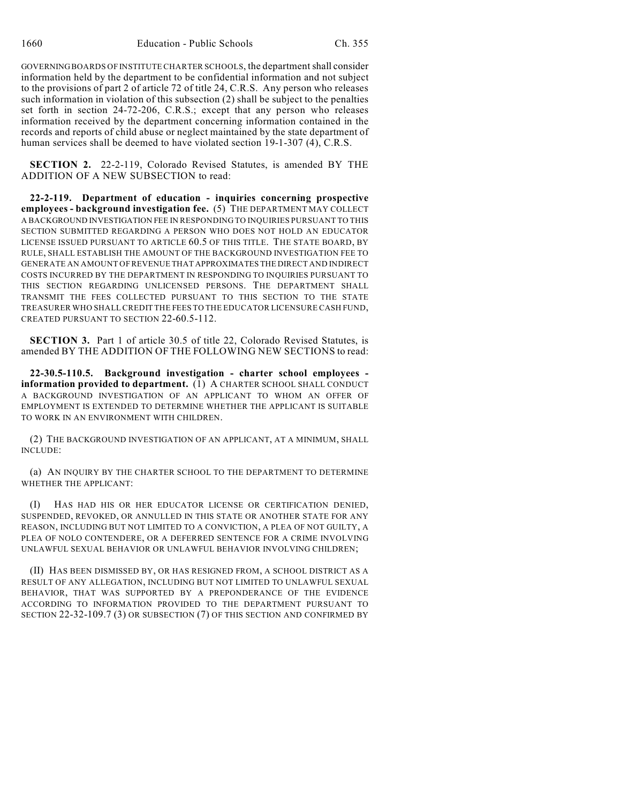GOVERNING BOARDS OF INSTITUTE CHARTER SCHOOLS, the department shall consider information held by the department to be confidential information and not subject to the provisions of part 2 of article 72 of title 24, C.R.S. Any person who releases such information in violation of this subsection (2) shall be subject to the penalties set forth in section 24-72-206, C.R.S.; except that any person who releases information received by the department concerning information contained in the records and reports of child abuse or neglect maintained by the state department of human services shall be deemed to have violated section 19-1-307 (4), C.R.S.

**SECTION 2.** 22-2-119, Colorado Revised Statutes, is amended BY THE ADDITION OF A NEW SUBSECTION to read:

**22-2-119. Department of education - inquiries concerning prospective employees - background investigation fee.** (5) THE DEPARTMENT MAY COLLECT A BACKGROUND INVESTIGATION FEE IN RESPONDING TO INQUIRIES PURSUANT TO THIS SECTION SUBMITTED REGARDING A PERSON WHO DOES NOT HOLD AN EDUCATOR LICENSE ISSUED PURSUANT TO ARTICLE 60.5 OF THIS TITLE. THE STATE BOARD, BY RULE, SHALL ESTABLISH THE AMOUNT OF THE BACKGROUND INVESTIGATION FEE TO GENERATE AN AMOUNT OF REVENUE THAT APPROXIMATES THE DIRECT AND INDIRECT COSTS INCURRED BY THE DEPARTMENT IN RESPONDING TO INQUIRIES PURSUANT TO THIS SECTION REGARDING UNLICENSED PERSONS. THE DEPARTMENT SHALL TRANSMIT THE FEES COLLECTED PURSUANT TO THIS SECTION TO THE STATE TREASURER WHO SHALL CREDIT THE FEES TO THE EDUCATOR LICENSURE CASH FUND, CREATED PURSUANT TO SECTION 22-60.5-112.

**SECTION 3.** Part 1 of article 30.5 of title 22, Colorado Revised Statutes, is amended BY THE ADDITION OF THE FOLLOWING NEW SECTIONS to read:

**22-30.5-110.5. Background investigation - charter school employees information provided to department.** (1) A CHARTER SCHOOL SHALL CONDUCT A BACKGROUND INVESTIGATION OF AN APPLICANT TO WHOM AN OFFER OF EMPLOYMENT IS EXTENDED TO DETERMINE WHETHER THE APPLICANT IS SUITABLE TO WORK IN AN ENVIRONMENT WITH CHILDREN.

(2) THE BACKGROUND INVESTIGATION OF AN APPLICANT, AT A MINIMUM, SHALL INCLUDE:

(a) AN INQUIRY BY THE CHARTER SCHOOL TO THE DEPARTMENT TO DETERMINE WHETHER THE APPLICANT:

(I) HAS HAD HIS OR HER EDUCATOR LICENSE OR CERTIFICATION DENIED, SUSPENDED, REVOKED, OR ANNULLED IN THIS STATE OR ANOTHER STATE FOR ANY REASON, INCLUDING BUT NOT LIMITED TO A CONVICTION, A PLEA OF NOT GUILTY, A PLEA OF NOLO CONTENDERE, OR A DEFERRED SENTENCE FOR A CRIME INVOLVING UNLAWFUL SEXUAL BEHAVIOR OR UNLAWFUL BEHAVIOR INVOLVING CHILDREN;

(II) HAS BEEN DISMISSED BY, OR HAS RESIGNED FROM, A SCHOOL DISTRICT AS A RESULT OF ANY ALLEGATION, INCLUDING BUT NOT LIMITED TO UNLAWFUL SEXUAL BEHAVIOR, THAT WAS SUPPORTED BY A PREPONDERANCE OF THE EVIDENCE ACCORDING TO INFORMATION PROVIDED TO THE DEPARTMENT PURSUANT TO SECTION 22-32-109.7 (3) OR SUBSECTION (7) OF THIS SECTION AND CONFIRMED BY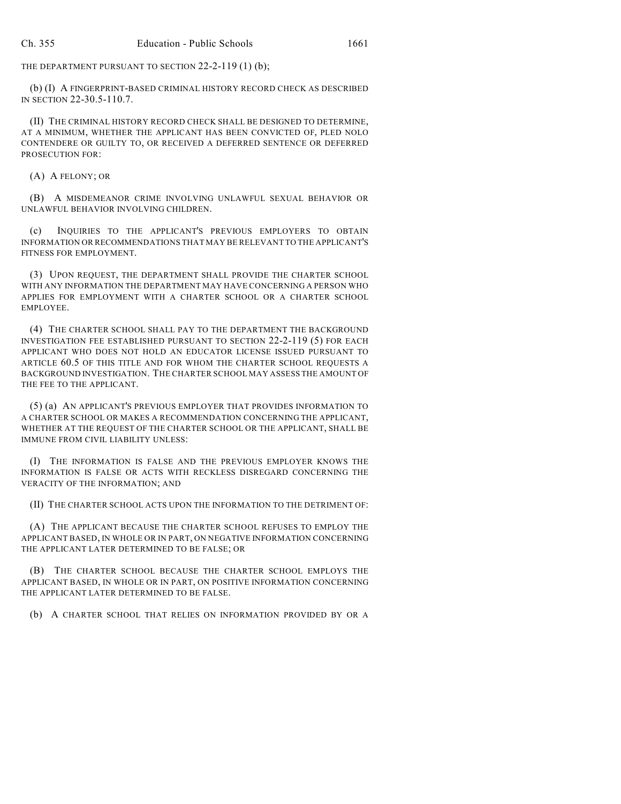THE DEPARTMENT PURSUANT TO SECTION 22-2-119 (1) (b);

(b) (I) A FINGERPRINT-BASED CRIMINAL HISTORY RECORD CHECK AS DESCRIBED IN SECTION 22-30.5-110.7.

(II) THE CRIMINAL HISTORY RECORD CHECK SHALL BE DESIGNED TO DETERMINE, AT A MINIMUM, WHETHER THE APPLICANT HAS BEEN CONVICTED OF, PLED NOLO CONTENDERE OR GUILTY TO, OR RECEIVED A DEFERRED SENTENCE OR DEFERRED PROSECUTION FOR:

(A) A FELONY; OR

(B) A MISDEMEANOR CRIME INVOLVING UNLAWFUL SEXUAL BEHAVIOR OR UNLAWFUL BEHAVIOR INVOLVING CHILDREN.

(c) INQUIRIES TO THE APPLICANT'S PREVIOUS EMPLOYERS TO OBTAIN INFORMATION OR RECOMMENDATIONS THAT MAY BE RELEVANT TO THE APPLICANT'S FITNESS FOR EMPLOYMENT.

(3) UPON REQUEST, THE DEPARTMENT SHALL PROVIDE THE CHARTER SCHOOL WITH ANY INFORMATION THE DEPARTMENT MAY HAVE CONCERNING A PERSON WHO APPLIES FOR EMPLOYMENT WITH A CHARTER SCHOOL OR A CHARTER SCHOOL EMPLOYEE.

(4) THE CHARTER SCHOOL SHALL PAY TO THE DEPARTMENT THE BACKGROUND INVESTIGATION FEE ESTABLISHED PURSUANT TO SECTION 22-2-119 (5) FOR EACH APPLICANT WHO DOES NOT HOLD AN EDUCATOR LICENSE ISSUED PURSUANT TO ARTICLE 60.5 OF THIS TITLE AND FOR WHOM THE CHARTER SCHOOL REQUESTS A BACKGROUND INVESTIGATION. THE CHARTER SCHOOL MAY ASSESS THE AMOUNT OF THE FEE TO THE APPLICANT.

(5) (a) AN APPLICANT'S PREVIOUS EMPLOYER THAT PROVIDES INFORMATION TO A CHARTER SCHOOL OR MAKES A RECOMMENDATION CONCERNING THE APPLICANT, WHETHER AT THE REQUEST OF THE CHARTER SCHOOL OR THE APPLICANT, SHALL BE IMMUNE FROM CIVIL LIABILITY UNLESS:

(I) THE INFORMATION IS FALSE AND THE PREVIOUS EMPLOYER KNOWS THE INFORMATION IS FALSE OR ACTS WITH RECKLESS DISREGARD CONCERNING THE VERACITY OF THE INFORMATION; AND

(II) THE CHARTER SCHOOL ACTS UPON THE INFORMATION TO THE DETRIMENT OF:

(A) THE APPLICANT BECAUSE THE CHARTER SCHOOL REFUSES TO EMPLOY THE APPLICANT BASED, IN WHOLE OR IN PART, ON NEGATIVE INFORMATION CONCERNING THE APPLICANT LATER DETERMINED TO BE FALSE; OR

(B) THE CHARTER SCHOOL BECAUSE THE CHARTER SCHOOL EMPLOYS THE APPLICANT BASED, IN WHOLE OR IN PART, ON POSITIVE INFORMATION CONCERNING THE APPLICANT LATER DETERMINED TO BE FALSE.

(b) A CHARTER SCHOOL THAT RELIES ON INFORMATION PROVIDED BY OR A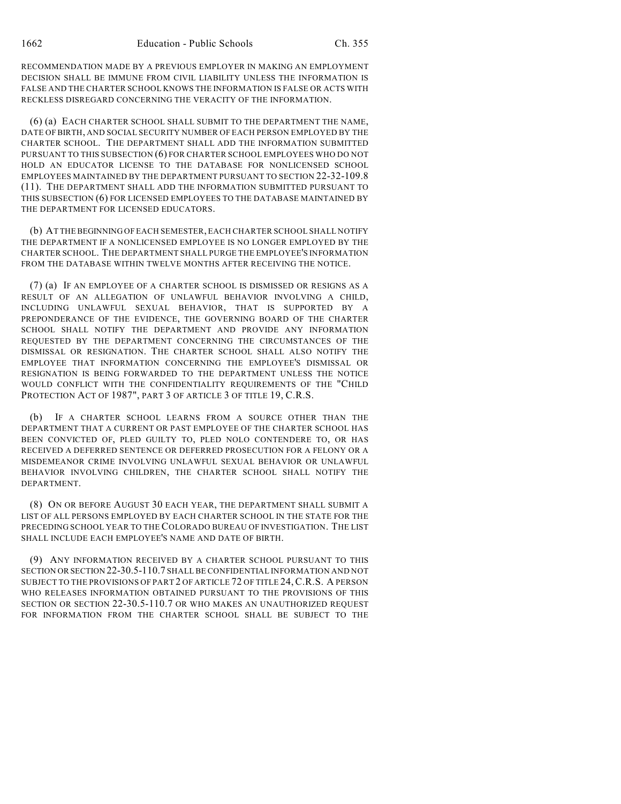RECOMMENDATION MADE BY A PREVIOUS EMPLOYER IN MAKING AN EMPLOYMENT DECISION SHALL BE IMMUNE FROM CIVIL LIABILITY UNLESS THE INFORMATION IS FALSE AND THE CHARTER SCHOOL KNOWS THE INFORMATION IS FALSE OR ACTS WITH RECKLESS DISREGARD CONCERNING THE VERACITY OF THE INFORMATION.

(6) (a) EACH CHARTER SCHOOL SHALL SUBMIT TO THE DEPARTMENT THE NAME, DATE OF BIRTH, AND SOCIAL SECURITY NUMBER OF EACH PERSON EMPLOYED BY THE CHARTER SCHOOL. THE DEPARTMENT SHALL ADD THE INFORMATION SUBMITTED PURSUANT TO THIS SUBSECTION (6) FOR CHARTER SCHOOL EMPLOYEES WHO DO NOT HOLD AN EDUCATOR LICENSE TO THE DATABASE FOR NONLICENSED SCHOOL EMPLOYEES MAINTAINED BY THE DEPARTMENT PURSUANT TO SECTION 22-32-109.8 (11). THE DEPARTMENT SHALL ADD THE INFORMATION SUBMITTED PURSUANT TO THIS SUBSECTION (6) FOR LICENSED EMPLOYEES TO THE DATABASE MAINTAINED BY THE DEPARTMENT FOR LICENSED EDUCATORS.

(b) AT THE BEGINNING OF EACH SEMESTER, EACH CHARTER SCHOOL SHALL NOTIFY THE DEPARTMENT IF A NONLICENSED EMPLOYEE IS NO LONGER EMPLOYED BY THE CHARTER SCHOOL. THE DEPARTMENT SHALL PURGE THE EMPLOYEE'S INFORMATION FROM THE DATABASE WITHIN TWELVE MONTHS AFTER RECEIVING THE NOTICE.

(7) (a) IF AN EMPLOYEE OF A CHARTER SCHOOL IS DISMISSED OR RESIGNS AS A RESULT OF AN ALLEGATION OF UNLAWFUL BEHAVIOR INVOLVING A CHILD, INCLUDING UNLAWFUL SEXUAL BEHAVIOR, THAT IS SUPPORTED BY A PREPONDERANCE OF THE EVIDENCE, THE GOVERNING BOARD OF THE CHARTER SCHOOL SHALL NOTIFY THE DEPARTMENT AND PROVIDE ANY INFORMATION REQUESTED BY THE DEPARTMENT CONCERNING THE CIRCUMSTANCES OF THE DISMISSAL OR RESIGNATION. THE CHARTER SCHOOL SHALL ALSO NOTIFY THE EMPLOYEE THAT INFORMATION CONCERNING THE EMPLOYEE'S DISMISSAL OR RESIGNATION IS BEING FORWARDED TO THE DEPARTMENT UNLESS THE NOTICE WOULD CONFLICT WITH THE CONFIDENTIALITY REQUIREMENTS OF THE "CHILD PROTECTION ACT OF 1987", PART 3 OF ARTICLE 3 OF TITLE 19, C.R.S.

(b) IF A CHARTER SCHOOL LEARNS FROM A SOURCE OTHER THAN THE DEPARTMENT THAT A CURRENT OR PAST EMPLOYEE OF THE CHARTER SCHOOL HAS BEEN CONVICTED OF, PLED GUILTY TO, PLED NOLO CONTENDERE TO, OR HAS RECEIVED A DEFERRED SENTENCE OR DEFERRED PROSECUTION FOR A FELONY OR A MISDEMEANOR CRIME INVOLVING UNLAWFUL SEXUAL BEHAVIOR OR UNLAWFUL BEHAVIOR INVOLVING CHILDREN, THE CHARTER SCHOOL SHALL NOTIFY THE DEPARTMENT.

(8) ON OR BEFORE AUGUST 30 EACH YEAR, THE DEPARTMENT SHALL SUBMIT A LIST OF ALL PERSONS EMPLOYED BY EACH CHARTER SCHOOL IN THE STATE FOR THE PRECEDING SCHOOL YEAR TO THE COLORADO BUREAU OF INVESTIGATION. THE LIST SHALL INCLUDE EACH EMPLOYEE'S NAME AND DATE OF BIRTH.

(9) ANY INFORMATION RECEIVED BY A CHARTER SCHOOL PURSUANT TO THIS SECTION OR SECTION 22-30.5-110.7 SHALL BE CONFIDENTIAL INFORMATION AND NOT SUBJECT TO THE PROVISIONS OF PART 2 OF ARTICLE 72 OF TITLE 24,C.R.S. A PERSON WHO RELEASES INFORMATION OBTAINED PURSUANT TO THE PROVISIONS OF THIS SECTION OR SECTION 22-30.5-110.7 OR WHO MAKES AN UNAUTHORIZED REQUEST FOR INFORMATION FROM THE CHARTER SCHOOL SHALL BE SUBJECT TO THE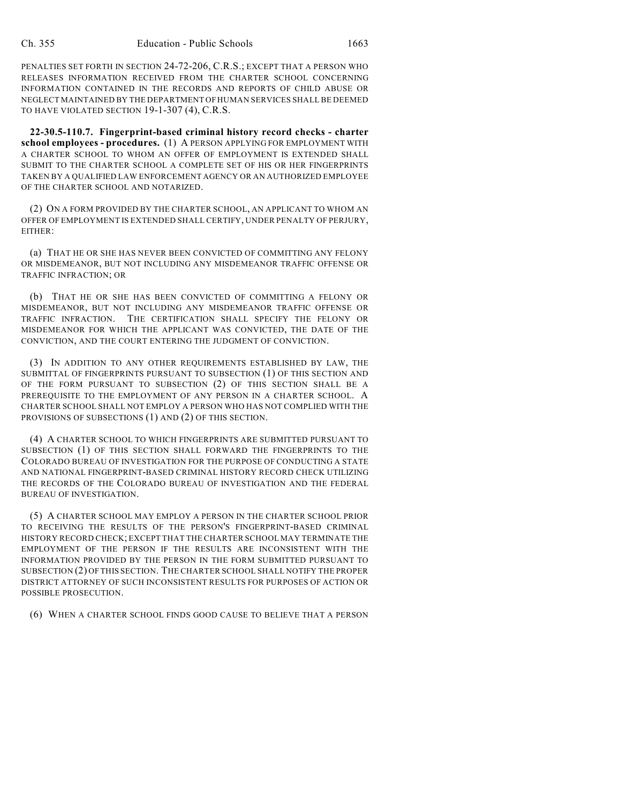PENALTIES SET FORTH IN SECTION 24-72-206, C.R.S.; EXCEPT THAT A PERSON WHO RELEASES INFORMATION RECEIVED FROM THE CHARTER SCHOOL CONCERNING INFORMATION CONTAINED IN THE RECORDS AND REPORTS OF CHILD ABUSE OR NEGLECT MAINTAINED BY THE DEPARTMENT OF HUMAN SERVICES SHALL BE DEEMED TO HAVE VIOLATED SECTION 19-1-307 (4), C.R.S.

**22-30.5-110.7. Fingerprint-based criminal history record checks - charter school employees - procedures.** (1) A PERSON APPLYING FOR EMPLOYMENT WITH A CHARTER SCHOOL TO WHOM AN OFFER OF EMPLOYMENT IS EXTENDED SHALL SUBMIT TO THE CHARTER SCHOOL A COMPLETE SET OF HIS OR HER FINGERPRINTS TAKEN BY A QUALIFIED LAW ENFORCEMENT AGENCY OR AN AUTHORIZED EMPLOYEE OF THE CHARTER SCHOOL AND NOTARIZED.

(2) ON A FORM PROVIDED BY THE CHARTER SCHOOL, AN APPLICANT TO WHOM AN OFFER OF EMPLOYMENT IS EXTENDED SHALL CERTIFY, UNDER PENALTY OF PERJURY, EITHER:

(a) THAT HE OR SHE HAS NEVER BEEN CONVICTED OF COMMITTING ANY FELONY OR MISDEMEANOR, BUT NOT INCLUDING ANY MISDEMEANOR TRAFFIC OFFENSE OR TRAFFIC INFRACTION; OR

(b) THAT HE OR SHE HAS BEEN CONVICTED OF COMMITTING A FELONY OR MISDEMEANOR, BUT NOT INCLUDING ANY MISDEMEANOR TRAFFIC OFFENSE OR TRAFFIC INFRACTION. THE CERTIFICATION SHALL SPECIFY THE FELONY OR MISDEMEANOR FOR WHICH THE APPLICANT WAS CONVICTED, THE DATE OF THE CONVICTION, AND THE COURT ENTERING THE JUDGMENT OF CONVICTION.

(3) IN ADDITION TO ANY OTHER REQUIREMENTS ESTABLISHED BY LAW, THE SUBMITTAL OF FINGERPRINTS PURSUANT TO SUBSECTION (1) OF THIS SECTION AND OF THE FORM PURSUANT TO SUBSECTION (2) OF THIS SECTION SHALL BE A PREREQUISITE TO THE EMPLOYMENT OF ANY PERSON IN A CHARTER SCHOOL. A CHARTER SCHOOL SHALL NOT EMPLOY A PERSON WHO HAS NOT COMPLIED WITH THE PROVISIONS OF SUBSECTIONS (1) AND (2) OF THIS SECTION.

(4) A CHARTER SCHOOL TO WHICH FINGERPRINTS ARE SUBMITTED PURSUANT TO SUBSECTION (1) OF THIS SECTION SHALL FORWARD THE FINGERPRINTS TO THE COLORADO BUREAU OF INVESTIGATION FOR THE PURPOSE OF CONDUCTING A STATE AND NATIONAL FINGERPRINT-BASED CRIMINAL HISTORY RECORD CHECK UTILIZING THE RECORDS OF THE COLORADO BUREAU OF INVESTIGATION AND THE FEDERAL BUREAU OF INVESTIGATION.

(5) A CHARTER SCHOOL MAY EMPLOY A PERSON IN THE CHARTER SCHOOL PRIOR TO RECEIVING THE RESULTS OF THE PERSON'S FINGERPRINT-BASED CRIMINAL HISTORY RECORD CHECK; EXCEPT THAT THE CHARTER SCHOOL MAY TERMINATE THE EMPLOYMENT OF THE PERSON IF THE RESULTS ARE INCONSISTENT WITH THE INFORMATION PROVIDED BY THE PERSON IN THE FORM SUBMITTED PURSUANT TO SUBSECTION (2) OF THIS SECTION. THE CHARTER SCHOOL SHALL NOTIFY THE PROPER DISTRICT ATTORNEY OF SUCH INCONSISTENT RESULTS FOR PURPOSES OF ACTION OR POSSIBLE PROSECUTION.

(6) WHEN A CHARTER SCHOOL FINDS GOOD CAUSE TO BELIEVE THAT A PERSON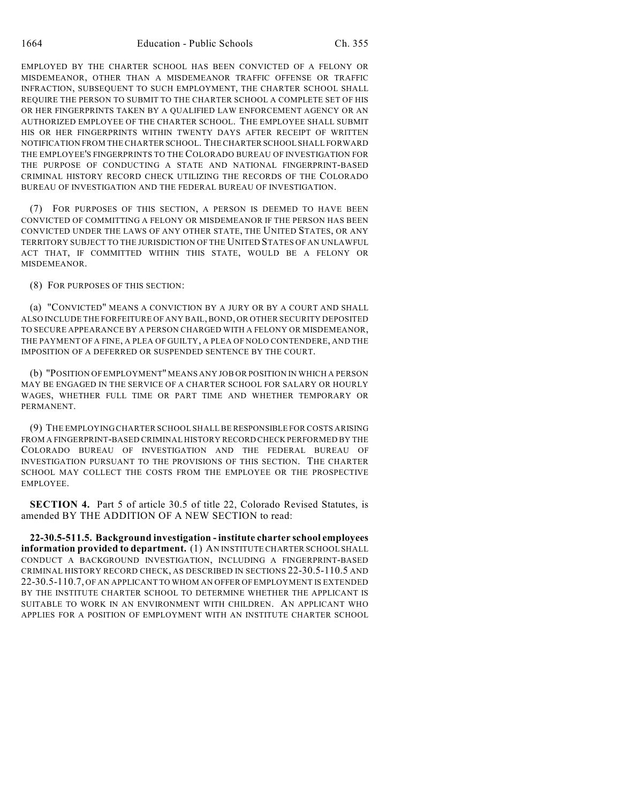EMPLOYED BY THE CHARTER SCHOOL HAS BEEN CONVICTED OF A FELONY OR MISDEMEANOR, OTHER THAN A MISDEMEANOR TRAFFIC OFFENSE OR TRAFFIC INFRACTION, SUBSEQUENT TO SUCH EMPLOYMENT, THE CHARTER SCHOOL SHALL REQUIRE THE PERSON TO SUBMIT TO THE CHARTER SCHOOL A COMPLETE SET OF HIS OR HER FINGERPRINTS TAKEN BY A QUALIFIED LAW ENFORCEMENT AGENCY OR AN AUTHORIZED EMPLOYEE OF THE CHARTER SCHOOL. THE EMPLOYEE SHALL SUBMIT HIS OR HER FINGERPRINTS WITHIN TWENTY DAYS AFTER RECEIPT OF WRITTEN NOTIFICATION FROM THE CHARTER SCHOOL. THE CHARTER SCHOOL SHALL FORWARD THE EMPLOYEE'S FINGERPRINTS TO THE COLORADO BUREAU OF INVESTIGATION FOR THE PURPOSE OF CONDUCTING A STATE AND NATIONAL FINGERPRINT-BASED CRIMINAL HISTORY RECORD CHECK UTILIZING THE RECORDS OF THE COLORADO BUREAU OF INVESTIGATION AND THE FEDERAL BUREAU OF INVESTIGATION.

(7) FOR PURPOSES OF THIS SECTION, A PERSON IS DEEMED TO HAVE BEEN CONVICTED OF COMMITTING A FELONY OR MISDEMEANOR IF THE PERSON HAS BEEN CONVICTED UNDER THE LAWS OF ANY OTHER STATE, THE UNITED STATES, OR ANY TERRITORY SUBJECT TO THE JURISDICTION OF THE UNITED STATES OF AN UNLAWFUL ACT THAT, IF COMMITTED WITHIN THIS STATE, WOULD BE A FELONY OR MISDEMEANOR.

(8) FOR PURPOSES OF THIS SECTION:

(a) "CONVICTED" MEANS A CONVICTION BY A JURY OR BY A COURT AND SHALL ALSO INCLUDE THE FORFEITURE OF ANY BAIL, BOND, OR OTHER SECURITY DEPOSITED TO SECURE APPEARANCE BY A PERSON CHARGED WITH A FELONY OR MISDEMEANOR, THE PAYMENT OF A FINE, A PLEA OF GUILTY, A PLEA OF NOLO CONTENDERE, AND THE IMPOSITION OF A DEFERRED OR SUSPENDED SENTENCE BY THE COURT.

(b) "POSITION OF EMPLOYMENT" MEANS ANY JOB OR POSITION IN WHICH A PERSON MAY BE ENGAGED IN THE SERVICE OF A CHARTER SCHOOL FOR SALARY OR HOURLY WAGES, WHETHER FULL TIME OR PART TIME AND WHETHER TEMPORARY OR PERMANENT.

(9) THE EMPLOYING CHARTER SCHOOL SHALL BE RESPONSIBLE FOR COSTS ARISING FROM A FINGERPRINT-BASED CRIMINAL HISTORY RECORD CHECK PERFORMED BY THE COLORADO BUREAU OF INVESTIGATION AND THE FEDERAL BUREAU OF INVESTIGATION PURSUANT TO THE PROVISIONS OF THIS SECTION. THE CHARTER SCHOOL MAY COLLECT THE COSTS FROM THE EMPLOYEE OR THE PROSPECTIVE EMPLOYEE.

**SECTION 4.** Part 5 of article 30.5 of title 22, Colorado Revised Statutes, is amended BY THE ADDITION OF A NEW SECTION to read:

**22-30.5-511.5. Background investigation - institute charter school employees information provided to department.** (1) AN INSTITUTE CHARTER SCHOOL SHALL CONDUCT A BACKGROUND INVESTIGATION, INCLUDING A FINGERPRINT-BASED CRIMINAL HISTORY RECORD CHECK, AS DESCRIBED IN SECTIONS 22-30.5-110.5 AND 22-30.5-110.7, OF AN APPLICANT TO WHOM AN OFFER OF EMPLOYMENT IS EXTENDED BY THE INSTITUTE CHARTER SCHOOL TO DETERMINE WHETHER THE APPLICANT IS SUITABLE TO WORK IN AN ENVIRONMENT WITH CHILDREN. AN APPLICANT WHO APPLIES FOR A POSITION OF EMPLOYMENT WITH AN INSTITUTE CHARTER SCHOOL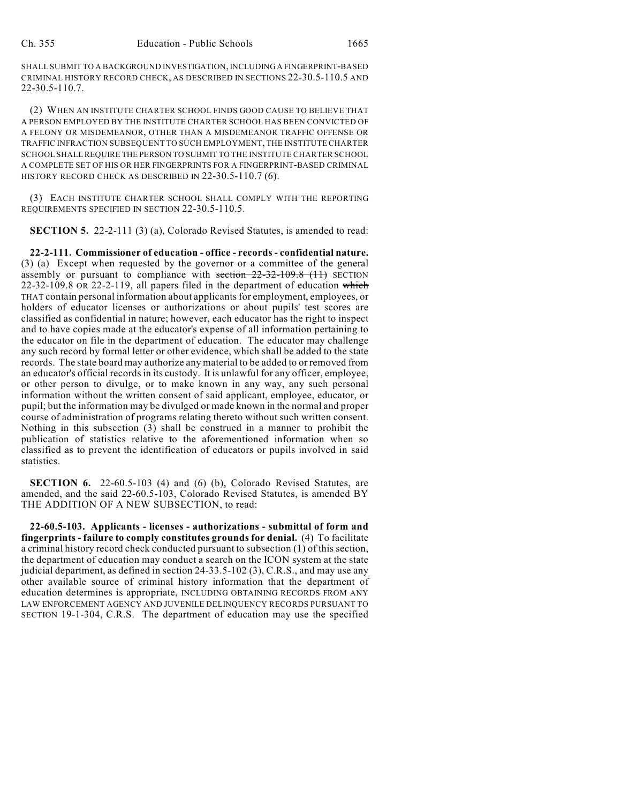SHALL SUBMIT TO A BACKGROUND INVESTIGATION, INCLUDING A FINGERPRINT-BASED CRIMINAL HISTORY RECORD CHECK, AS DESCRIBED IN SECTIONS 22-30.5-110.5 AND 22-30.5-110.7.

(2) WHEN AN INSTITUTE CHARTER SCHOOL FINDS GOOD CAUSE TO BELIEVE THAT A PERSON EMPLOYED BY THE INSTITUTE CHARTER SCHOOL HAS BEEN CONVICTED OF A FELONY OR MISDEMEANOR, OTHER THAN A MISDEMEANOR TRAFFIC OFFENSE OR TRAFFIC INFRACTION SUBSEQUENT TO SUCH EMPLOYMENT, THE INSTITUTE CHARTER SCHOOL SHALL REQUIRE THE PERSON TO SUBMIT TO THE INSTITUTE CHARTER SCHOOL A COMPLETE SET OF HIS OR HER FINGERPRINTS FOR A FINGERPRINT-BASED CRIMINAL HISTORY RECORD CHECK AS DESCRIBED IN 22-30.5-110.7 (6).

(3) EACH INSTITUTE CHARTER SCHOOL SHALL COMPLY WITH THE REPORTING REQUIREMENTS SPECIFIED IN SECTION 22-30.5-110.5.

**SECTION 5.** 22-2-111 (3) (a), Colorado Revised Statutes, is amended to read:

**22-2-111. Commissioner of education - office - records - confidential nature.** (3) (a) Except when requested by the governor or a committee of the general assembly or pursuant to compliance with section 22-32-109.8 (11) SECTION 22-32-109.8 OR 22-2-119, all papers filed in the department of education which THAT contain personal information about applicants for employment, employees, or holders of educator licenses or authorizations or about pupils' test scores are classified as confidential in nature; however, each educator has the right to inspect and to have copies made at the educator's expense of all information pertaining to the educator on file in the department of education. The educator may challenge any such record by formal letter or other evidence, which shall be added to the state records. The state board may authorize any material to be added to or removed from an educator's official records in its custody. It is unlawful for any officer, employee, or other person to divulge, or to make known in any way, any such personal information without the written consent of said applicant, employee, educator, or pupil; but the information may be divulged or made known in the normal and proper course of administration of programs relating thereto without such written consent. Nothing in this subsection (3) shall be construed in a manner to prohibit the publication of statistics relative to the aforementioned information when so classified as to prevent the identification of educators or pupils involved in said statistics.

**SECTION 6.** 22-60.5-103 (4) and (6) (b), Colorado Revised Statutes, are amended, and the said 22-60.5-103, Colorado Revised Statutes, is amended BY THE ADDITION OF A NEW SUBSECTION, to read:

**22-60.5-103. Applicants - licenses - authorizations - submittal of form and fingerprints - failure to comply constitutes grounds for denial.** (4) To facilitate a criminal history record check conducted pursuant to subsection (1) of this section, the department of education may conduct a search on the ICON system at the state judicial department, as defined in section 24-33.5-102 (3), C.R.S., and may use any other available source of criminal history information that the department of education determines is appropriate, INCLUDING OBTAINING RECORDS FROM ANY LAW ENFORCEMENT AGENCY AND JUVENILE DELINQUENCY RECORDS PURSUANT TO SECTION 19-1-304, C.R.S. The department of education may use the specified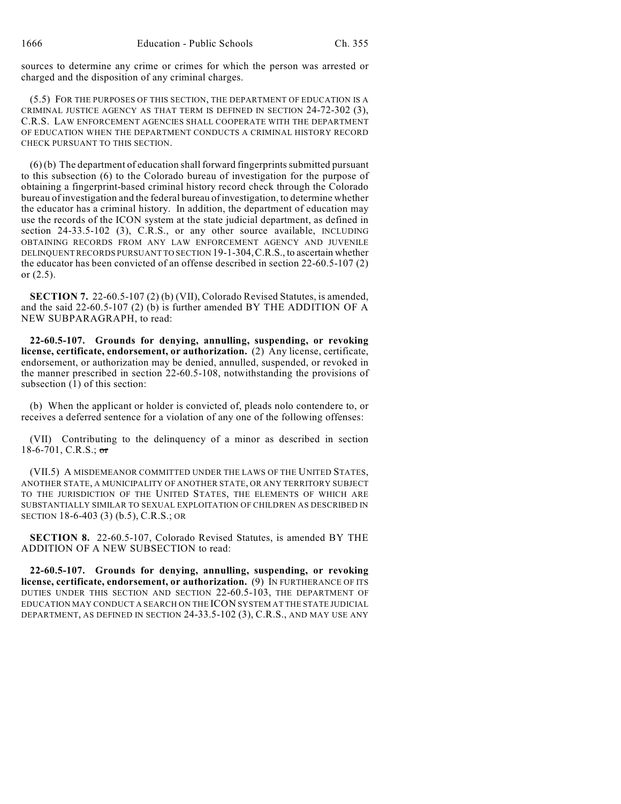sources to determine any crime or crimes for which the person was arrested or charged and the disposition of any criminal charges.

(5.5) FOR THE PURPOSES OF THIS SECTION, THE DEPARTMENT OF EDUCATION IS A CRIMINAL JUSTICE AGENCY AS THAT TERM IS DEFINED IN SECTION 24-72-302 (3), C.R.S. LAW ENFORCEMENT AGENCIES SHALL COOPERATE WITH THE DEPARTMENT OF EDUCATION WHEN THE DEPARTMENT CONDUCTS A CRIMINAL HISTORY RECORD CHECK PURSUANT TO THIS SECTION.

(6) (b) The department of education shall forward fingerprints submitted pursuant to this subsection (6) to the Colorado bureau of investigation for the purpose of obtaining a fingerprint-based criminal history record check through the Colorado bureau of investigation and the federal bureau of investigation, to determine whether the educator has a criminal history. In addition, the department of education may use the records of the ICON system at the state judicial department, as defined in section 24-33.5-102 (3), C.R.S., or any other source available, INCLUDING OBTAINING RECORDS FROM ANY LAW ENFORCEMENT AGENCY AND JUVENILE DELINQUENT RECORDS PURSUANT TO SECTION 19-1-304,C.R.S., to ascertain whether the educator has been convicted of an offense described in section 22-60.5-107 (2) or (2.5).

**SECTION 7.** 22-60.5-107 (2) (b) (VII), Colorado Revised Statutes, is amended, and the said 22-60.5-107 (2) (b) is further amended BY THE ADDITION OF A NEW SUBPARAGRAPH, to read:

**22-60.5-107. Grounds for denying, annulling, suspending, or revoking license, certificate, endorsement, or authorization.** (2) Any license, certificate, endorsement, or authorization may be denied, annulled, suspended, or revoked in the manner prescribed in section 22-60.5-108, notwithstanding the provisions of subsection  $(1)$  of this section:

(b) When the applicant or holder is convicted of, pleads nolo contendere to, or receives a deferred sentence for a violation of any one of the following offenses:

(VII) Contributing to the delinquency of a minor as described in section 18-6-701, C.R.S.;  $\sigma$ 

(VII.5) A MISDEMEANOR COMMITTED UNDER THE LAWS OF THE UNITED STATES, ANOTHER STATE, A MUNICIPALITY OF ANOTHER STATE, OR ANY TERRITORY SUBJECT TO THE JURISDICTION OF THE UNITED STATES, THE ELEMENTS OF WHICH ARE SUBSTANTIALLY SIMILAR TO SEXUAL EXPLOITATION OF CHILDREN AS DESCRIBED IN SECTION 18-6-403 (3) (b.5), C.R.S.; OR

**SECTION 8.** 22-60.5-107, Colorado Revised Statutes, is amended BY THE ADDITION OF A NEW SUBSECTION to read:

**22-60.5-107. Grounds for denying, annulling, suspending, or revoking license, certificate, endorsement, or authorization.** (9) IN FURTHERANCE OF ITS DUTIES UNDER THIS SECTION AND SECTION 22-60.5-103, THE DEPARTMENT OF EDUCATION MAY CONDUCT A SEARCH ON THE ICON SYSTEM AT THE STATE JUDICIAL DEPARTMENT, AS DEFINED IN SECTION 24-33.5-102 (3), C.R.S., AND MAY USE ANY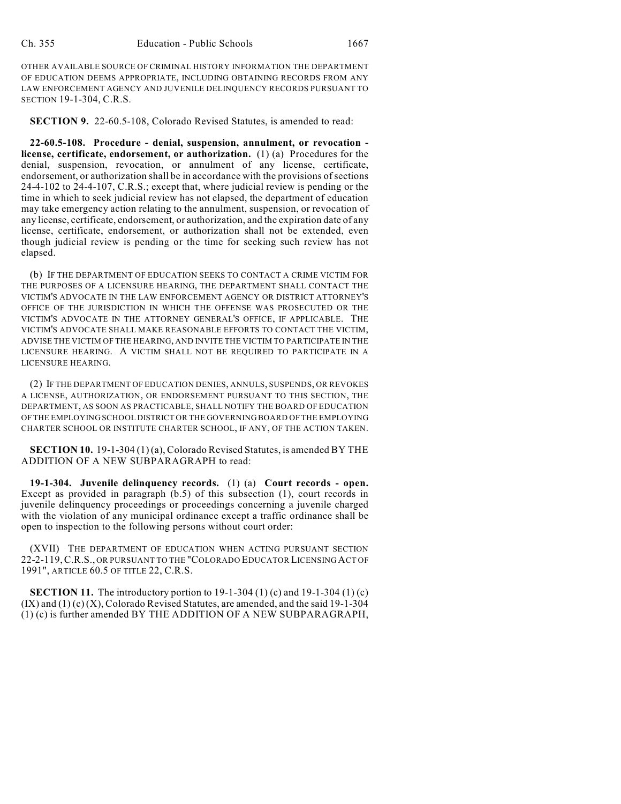OTHER AVAILABLE SOURCE OF CRIMINAL HISTORY INFORMATION THE DEPARTMENT OF EDUCATION DEEMS APPROPRIATE, INCLUDING OBTAINING RECORDS FROM ANY LAW ENFORCEMENT AGENCY AND JUVENILE DELINQUENCY RECORDS PURSUANT TO SECTION 19-1-304, C.R.S.

**SECTION 9.** 22-60.5-108, Colorado Revised Statutes, is amended to read:

**22-60.5-108. Procedure - denial, suspension, annulment, or revocation license, certificate, endorsement, or authorization.** (1) (a) Procedures for the denial, suspension, revocation, or annulment of any license, certificate, endorsement, or authorization shall be in accordance with the provisions of sections 24-4-102 to 24-4-107, C.R.S.; except that, where judicial review is pending or the time in which to seek judicial review has not elapsed, the department of education may take emergency action relating to the annulment, suspension, or revocation of any license, certificate, endorsement, or authorization, and the expiration date of any license, certificate, endorsement, or authorization shall not be extended, even though judicial review is pending or the time for seeking such review has not elapsed.

(b) IF THE DEPARTMENT OF EDUCATION SEEKS TO CONTACT A CRIME VICTIM FOR THE PURPOSES OF A LICENSURE HEARING, THE DEPARTMENT SHALL CONTACT THE VICTIM'S ADVOCATE IN THE LAW ENFORCEMENT AGENCY OR DISTRICT ATTORNEY'S OFFICE OF THE JURISDICTION IN WHICH THE OFFENSE WAS PROSECUTED OR THE VICTIM'S ADVOCATE IN THE ATTORNEY GENERAL'S OFFICE, IF APPLICABLE. THE VICTIM'S ADVOCATE SHALL MAKE REASONABLE EFFORTS TO CONTACT THE VICTIM, ADVISE THE VICTIM OF THE HEARING, AND INVITE THE VICTIM TO PARTICIPATE IN THE LICENSURE HEARING. A VICTIM SHALL NOT BE REQUIRED TO PARTICIPATE IN A LICENSURE HEARING.

(2) IF THE DEPARTMENT OF EDUCATION DENIES, ANNULS, SUSPENDS, OR REVOKES A LICENSE, AUTHORIZATION, OR ENDORSEMENT PURSUANT TO THIS SECTION, THE DEPARTMENT, AS SOON AS PRACTICABLE, SHALL NOTIFY THE BOARD OF EDUCATION OF THE EMPLOYING SCHOOL DISTRICT OR THE GOVERNING BOARD OF THE EMPLOYING CHARTER SCHOOL OR INSTITUTE CHARTER SCHOOL, IF ANY, OF THE ACTION TAKEN.

**SECTION 10.** 19-1-304 (1) (a), Colorado Revised Statutes, is amended BY THE ADDITION OF A NEW SUBPARAGRAPH to read:

**19-1-304. Juvenile delinquency records.** (1) (a) **Court records - open.** Except as provided in paragraph (b.5) of this subsection (1), court records in juvenile delinquency proceedings or proceedings concerning a juvenile charged with the violation of any municipal ordinance except a traffic ordinance shall be open to inspection to the following persons without court order:

(XVII) THE DEPARTMENT OF EDUCATION WHEN ACTING PURSUANT SECTION 22-2-119,C.R.S., OR PURSUANT TO THE "COLORADO EDUCATOR LICENSING ACT OF 1991", ARTICLE 60.5 OF TITLE 22, C.R.S.

**SECTION 11.** The introductory portion to 19-1-304 (1) (c) and 19-1-304 (1) (c)  $(IX)$  and  $(1)(c)(X)$ , Colorado Revised Statutes, are amended, and the said 19-1-304 (1) (c) is further amended BY THE ADDITION OF A NEW SUBPARAGRAPH,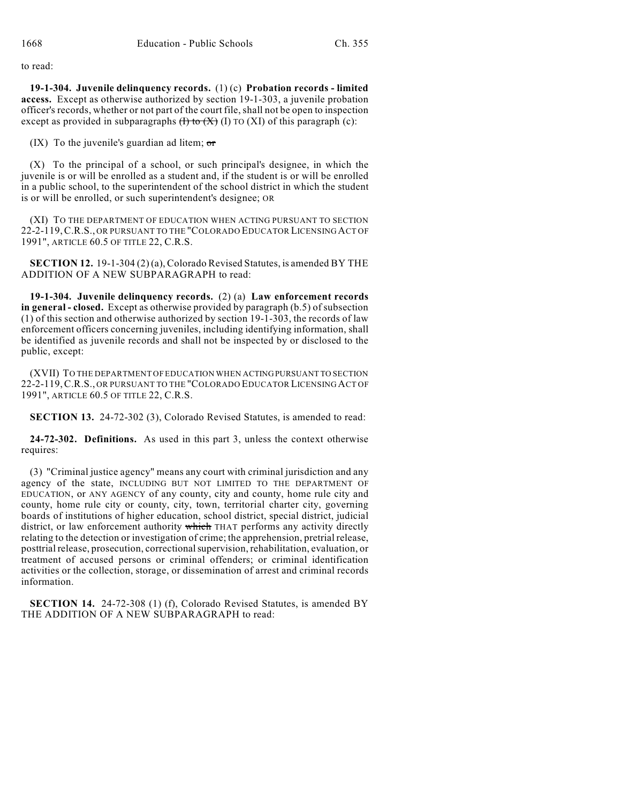to read:

**19-1-304. Juvenile delinquency records.** (1) (c) **Probation records - limited access.** Except as otherwise authorized by section 19-1-303, a juvenile probation officer's records, whether or not part of the court file, shall not be open to inspection except as provided in subparagraphs  $(H)$  to  $(X)$  (I) TO (XI) of this paragraph (c):

(IX) To the juvenile's guardian ad litem;  $\sigma$ r

(X) To the principal of a school, or such principal's designee, in which the juvenile is or will be enrolled as a student and, if the student is or will be enrolled in a public school, to the superintendent of the school district in which the student is or will be enrolled, or such superintendent's designee; OR

(XI) TO THE DEPARTMENT OF EDUCATION WHEN ACTING PURSUANT TO SECTION 22-2-119,C.R.S., OR PURSUANT TO THE "COLORADO EDUCATOR LICENSING ACT OF 1991", ARTICLE 60.5 OF TITLE 22, C.R.S.

**SECTION 12.** 19-1-304 (2) (a), Colorado Revised Statutes, is amended BY THE ADDITION OF A NEW SUBPARAGRAPH to read:

**19-1-304. Juvenile delinquency records.** (2) (a) **Law enforcement records in general - closed.** Except as otherwise provided by paragraph (b.5) of subsection (1) of this section and otherwise authorized by section 19-1-303, the records of law enforcement officers concerning juveniles, including identifying information, shall be identified as juvenile records and shall not be inspected by or disclosed to the public, except:

(XVII) TO THE DEPARTMENT OF EDUCATION WHEN ACTING PURSUANT TO SECTION 22-2-119,C.R.S., OR PURSUANT TO THE "COLORADO EDUCATOR LICENSING ACT OF 1991", ARTICLE 60.5 OF TITLE 22, C.R.S.

**SECTION 13.** 24-72-302 (3), Colorado Revised Statutes, is amended to read:

**24-72-302. Definitions.** As used in this part 3, unless the context otherwise requires:

(3) "Criminal justice agency" means any court with criminal jurisdiction and any agency of the state, INCLUDING BUT NOT LIMITED TO THE DEPARTMENT OF EDUCATION, or ANY AGENCY of any county, city and county, home rule city and county, home rule city or county, city, town, territorial charter city, governing boards of institutions of higher education, school district, special district, judicial district, or law enforcement authority which THAT performs any activity directly relating to the detection or investigation of crime; the apprehension, pretrial release, posttrial release, prosecution, correctional supervision, rehabilitation, evaluation, or treatment of accused persons or criminal offenders; or criminal identification activities or the collection, storage, or dissemination of arrest and criminal records information.

**SECTION 14.** 24-72-308 (1) (f), Colorado Revised Statutes, is amended BY THE ADDITION OF A NEW SUBPARAGRAPH to read: